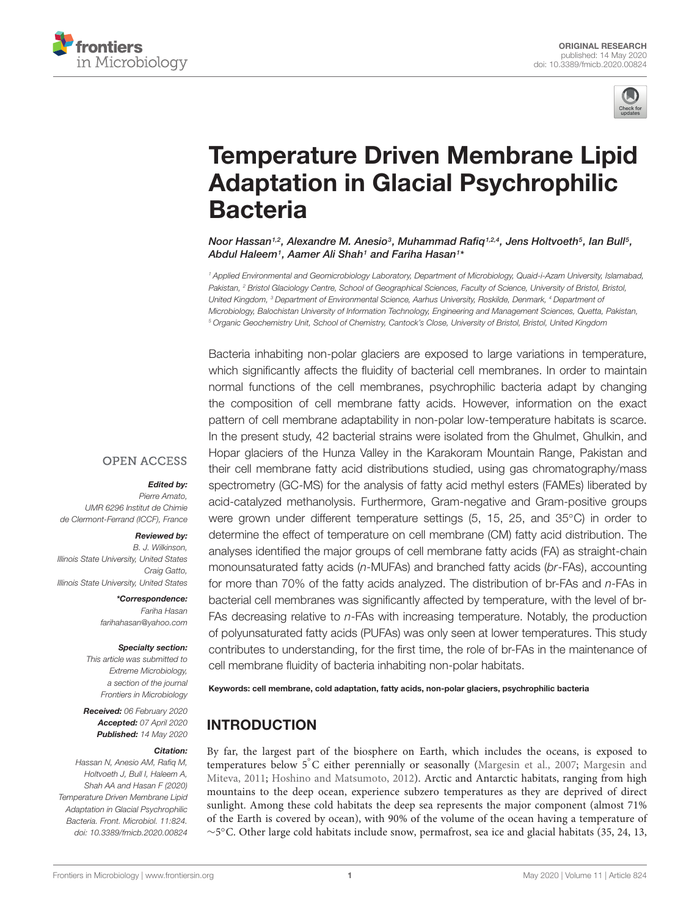



# [Temperature Driven Membrane Lipid](https://www.frontiersin.org/articles/10.3389/fmicb.2020.00824/full) Adaptation in Glacial Psychrophilic **Bacteria**

[Noor Hassan](http://loop.frontiersin.org/people/252252/overview)1,2, [Alexandre M. Anesio](http://loop.frontiersin.org/people/190304/overview)3, [Muhammad Rafiq](http://loop.frontiersin.org/people/446509/overview)1,2,4, [Jens Holtvoeth](http://loop.frontiersin.org/people/904265/overview)5, Ian Bull5, Abdul Haleem1, Aamer Ali Shah1 and [Fariha Hasan](http://loop.frontiersin.org/people/251951/overview)1\*

<sup>1</sup> Applied Environmental and Geomicrobiology Laboratory, Department of Microbiology, Quaid-i-Azam University, Islamabad, Pakistan, <sup>2</sup> Bristol Glaciology Centre, School of Geographical Sciences, Faculty of Science, University of Bristol, Bristol, United Kingdom, <sup>3</sup> Department of Environmental Science, Aarhus University, Roskilde, Denmark, <sup>4</sup> Department of Microbiology, Balochistan University of Information Technology, Engineering and Management Sciences, Quetta, Pakistan, <sup>5</sup> Organic Geochemistry Unit, School of Chemistry, Cantock's Close, University of Bristol, Bristol, United Kingdom

Bacteria inhabiting non-polar glaciers are exposed to large variations in temperature, which significantly affects the fluidity of bacterial cell membranes. In order to maintain normal functions of the cell membranes, psychrophilic bacteria adapt by changing the composition of cell membrane fatty acids. However, information on the exact pattern of cell membrane adaptability in non-polar low-temperature habitats is scarce. In the present study, 42 bacterial strains were isolated from the Ghulmet, Ghulkin, and Hopar glaciers of the Hunza Valley in the Karakoram Mountain Range, Pakistan and their cell membrane fatty acid distributions studied, using gas chromatography/mass spectrometry (GC-MS) for the analysis of fatty acid methyl esters (FAMEs) liberated by acid-catalyzed methanolysis. Furthermore, Gram-negative and Gram-positive groups were grown under different temperature settings (5, 15, 25, and 35<sup>°</sup>C) in order to determine the effect of temperature on cell membrane (CM) fatty acid distribution. The analyses identified the major groups of cell membrane fatty acids (FA) as straight-chain monounsaturated fatty acids (n-MUFAs) and branched fatty acids (br-FAs), accounting for more than 70% of the fatty acids analyzed. The distribution of br-FAs and n-FAs in bacterial cell membranes was significantly affected by temperature, with the level of br-FAs decreasing relative to n-FAs with increasing temperature. Notably, the production of polyunsaturated fatty acids (PUFAs) was only seen at lower temperatures. This study contributes to understanding, for the first time, the role of br-FAs in the maintenance of cell membrane fluidity of bacteria inhabiting non-polar habitats.

Keywords: cell membrane, cold adaptation, fatty acids, non-polar glaciers, psychrophilic bacteria

# INTRODUCTION

By far, the largest part of the biosphere on Earth, which includes the oceans, is exposed to temperatures below 5°C either perennially or seasonally [\(Margesin et al.,](#page-8-0) [2007;](#page-8-0) [Margesin and](#page-8-1) [Miteva,](#page-8-1) [2011;](#page-8-1) [Hoshino and Matsumoto,](#page-8-2) [2012\)](#page-8-2). Arctic and Antarctic habitats, ranging from high mountains to the deep ocean, experience subzero temperatures as they are deprived of direct sunlight. Among these cold habitats the deep sea represents the major component (almost 71% of the Earth is covered by ocean), with 90% of the volume of the ocean having a temperature of ∼5 ◦C. Other large cold habitats include snow, permafrost, sea ice and glacial habitats (35, 24, 13,

#### **OPEN ACCESS**

#### Edited by:

Pierre Amato, UMR 6296 Institut de Chimie de Clermont-Ferrand (ICCF), France

#### Reviewed by:

B. J. Wilkinson, Illinois State University, United States Craig Gatto, Illinois State University, United States

> \*Correspondence: Fariha Hasan farihahasan@yahoo.com

#### Specialty section:

This article was submitted to Extreme Microbiology, a section of the journal Frontiers in Microbiology

Received: 06 February 2020 Accepted: 07 April 2020 Published: 14 May 2020

#### Citation:

Hassan N, Anesio AM, Rafiq M, Holtvoeth J, Bull I, Haleem A, Shah AA and Hasan F (2020) Temperature Driven Membrane Lipid Adaptation in Glacial Psychrophilic Bacteria. Front. Microbiol. 11:824. doi: [10.3389/fmicb.2020.00824](https://doi.org/10.3389/fmicb.2020.00824)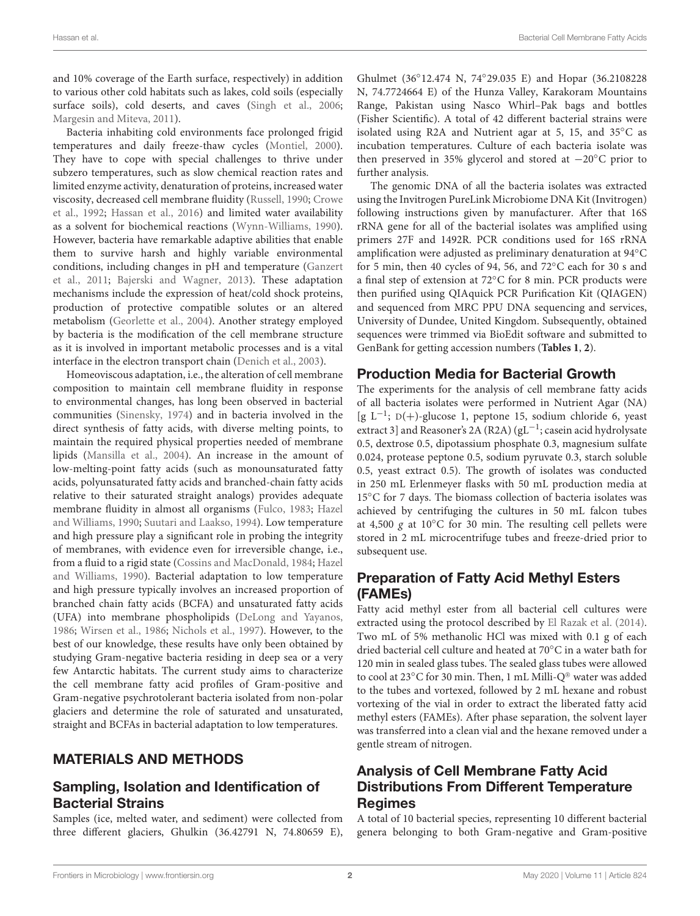and 10% coverage of the Earth surface, respectively) in addition to various other cold habitats such as lakes, cold soils (especially surface soils), cold deserts, and caves [\(Singh et al.,](#page-8-3) [2006;](#page-8-3) [Margesin and Miteva,](#page-8-1) [2011\)](#page-8-1).

Bacteria inhabiting cold environments face prolonged frigid temperatures and daily freeze-thaw cycles [\(Montiel,](#page-8-4) [2000\)](#page-8-4). They have to cope with special challenges to thrive under subzero temperatures, such as slow chemical reaction rates and limited enzyme activity, denaturation of proteins, increased water viscosity, decreased cell membrane fluidity [\(Russell,](#page-8-5) [1990;](#page-8-5) [Crowe](#page-8-6) [et al.,](#page-8-6) [1992;](#page-8-6) [Hassan et al.,](#page-8-7) [2016\)](#page-8-7) and limited water availability as a solvent for biochemical reactions [\(Wynn-Williams,](#page-9-0) [1990\)](#page-9-0). However, bacteria have remarkable adaptive abilities that enable them to survive harsh and highly variable environmental conditions, including changes in pH and temperature [\(Ganzert](#page-8-8) [et al.,](#page-8-8) [2011;](#page-8-8) [Bajerski and Wagner,](#page-7-0) [2013\)](#page-7-0). These adaptation mechanisms include the expression of heat/cold shock proteins, production of protective compatible solutes or an altered metabolism [\(Georlette et al.,](#page-8-9) [2004\)](#page-8-9). Another strategy employed by bacteria is the modification of the cell membrane structure as it is involved in important metabolic processes and is a vital interface in the electron transport chain [\(Denich et al.,](#page-8-10) [2003\)](#page-8-10).

Homeoviscous adaptation, i.e., the alteration of cell membrane composition to maintain cell membrane fluidity in response to environmental changes, has long been observed in bacterial communities [\(Sinensky,](#page-8-11) [1974\)](#page-8-11) and in bacteria involved in the direct synthesis of fatty acids, with diverse melting points, to maintain the required physical properties needed of membrane lipids [\(Mansilla et al.,](#page-8-12) [2004\)](#page-8-12). An increase in the amount of low-melting-point fatty acids (such as monounsaturated fatty acids, polyunsaturated fatty acids and branched-chain fatty acids relative to their saturated straight analogs) provides adequate membrane fluidity in almost all organisms [\(Fulco,](#page-8-13) [1983;](#page-8-13) [Hazel](#page-8-14) [and Williams,](#page-8-14) [1990;](#page-8-14) [Suutari and Laakso,](#page-8-15) [1994\)](#page-8-15). Low temperature and high pressure play a significant role in probing the integrity of membranes, with evidence even for irreversible change, i.e., from a fluid to a rigid state [\(Cossins and MacDonald,](#page-7-1) [1984;](#page-7-1) [Hazel](#page-8-14) [and Williams,](#page-8-14) [1990\)](#page-8-14). Bacterial adaptation to low temperature and high pressure typically involves an increased proportion of branched chain fatty acids (BCFA) and unsaturated fatty acids (UFA) into membrane phospholipids [\(DeLong and Yayanos,](#page-8-16) [1986;](#page-8-16) [Wirsen et al.,](#page-8-17) [1986;](#page-8-17) [Nichols et al.,](#page-8-18) [1997\)](#page-8-18). However, to the best of our knowledge, these results have only been obtained by studying Gram-negative bacteria residing in deep sea or a very few Antarctic habitats. The current study aims to characterize the cell membrane fatty acid profiles of Gram-positive and Gram-negative psychrotolerant bacteria isolated from non-polar glaciers and determine the role of saturated and unsaturated, straight and BCFAs in bacterial adaptation to low temperatures.

### MATERIALS AND METHODS

#### Sampling, Isolation and Identification of Bacterial Strains

Samples (ice, melted water, and sediment) were collected from three different glaciers, Ghulkin (36.42791 N, 74.80659 E), Ghulmet (36◦ 12.474 N, 74◦ 29.035 E) and Hopar (36.2108228 N, 74.7724664 E) of the Hunza Valley, Karakoram Mountains Range, Pakistan using Nasco Whirl–Pak bags and bottles (Fisher Scientific). A total of 42 different bacterial strains were isolated using R2A and Nutrient agar at 5, 15, and 35◦C as incubation temperatures. Culture of each bacteria isolate was then preserved in 35% glycerol and stored at −20◦C prior to further analysis.

The genomic DNA of all the bacteria isolates was extracted using the Invitrogen PureLink Microbiome DNA Kit (Invitrogen) following instructions given by manufacturer. After that 16S rRNA gene for all of the bacterial isolates was amplified using primers 27F and 1492R. PCR conditions used for 16S rRNA amplification were adjusted as preliminary denaturation at 94◦C for 5 min, then 40 cycles of 94, 56, and 72◦C each for 30 s and a final step of extension at 72◦C for 8 min. PCR products were then purified using QIAquick PCR Purification Kit (QIAGEN) and sequenced from MRC PPU DNA sequencing and services, University of Dundee, United Kingdom. Subsequently, obtained sequences were trimmed via BioEdit software and submitted to GenBank for getting accession numbers (**[Tables 1](#page-2-0)**, **[2](#page-2-1)**).

#### Production Media for Bacterial Growth

The experiments for the analysis of cell membrane fatty acids of all bacteria isolates were performed in Nutrient Agar (NA) [g L−<sup>1</sup> ; D(+)-glucose 1, peptone 15, sodium chloride 6, yeast extract 3] and Reasoner's 2A (R2A) (gL<sup>-1</sup>; casein acid hydrolysate 0.5, dextrose 0.5, dipotassium phosphate 0.3, magnesium sulfate 0.024, protease peptone 0.5, sodium pyruvate 0.3, starch soluble 0.5, yeast extract 0.5). The growth of isolates was conducted in 250 mL Erlenmeyer flasks with 50 mL production media at 15◦C for 7 days. The biomass collection of bacteria isolates was achieved by centrifuging the cultures in 50 mL falcon tubes at 4,500 g at 10 $^{\circ}$ C for 30 min. The resulting cell pellets were stored in 2 mL microcentrifuge tubes and freeze-dried prior to subsequent use.

### Preparation of Fatty Acid Methyl Esters (FAMEs)

Fatty acid methyl ester from all bacterial cell cultures were extracted using the protocol described by [El Razak et al.](#page-8-19) [\(2014\)](#page-8-19). Two mL of 5% methanolic HCl was mixed with 0.1 g of each dried bacterial cell culture and heated at 70◦C in a water bath for 120 min in sealed glass tubes. The sealed glass tubes were allowed to cool at 23°C for 30 min. Then, 1 mL Milli-Q® water was added to the tubes and vortexed, followed by 2 mL hexane and robust vortexing of the vial in order to extract the liberated fatty acid methyl esters (FAMEs). After phase separation, the solvent layer was transferred into a clean vial and the hexane removed under a gentle stream of nitrogen.

## Analysis of Cell Membrane Fatty Acid Distributions From Different Temperature Regimes

A total of 10 bacterial species, representing 10 different bacterial genera belonging to both Gram-negative and Gram-positive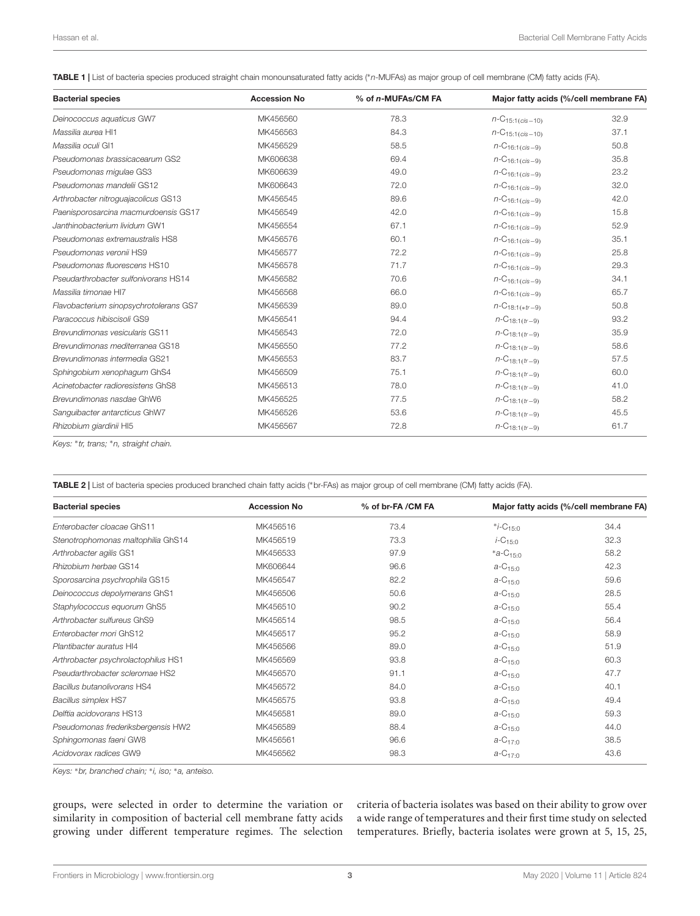<span id="page-2-0"></span>TABLE 1 | List of bacteria species produced straight chain monounsaturated fatty acids (\*n-MUFAs) as major group of cell membrane (CM) fatty acids (FA).

| <b>Bacterial species</b>               | <b>Accession No</b> | % of n-MUFAs/CM FA | Major fatty acids (%/cell membrane FA) |      |
|----------------------------------------|---------------------|--------------------|----------------------------------------|------|
| Deinococcus aquaticus GW7              | MK456560            | 78.3               | $n-C_{15:1(cis-10)}$                   | 32.9 |
| Massilia aurea HI1                     | MK456563            | 84.3               | $n-C_{15:1(cis-10)}$                   | 37.1 |
| Massilia oculi GI1                     | MK456529            | 58.5               | $n - C_{16:1(cis - 9)}$                | 50.8 |
| Pseudomonas brassicacearum GS2         | MK606638            | 69.4               | $n\text{-}C_{16:1(cis-9)}$             | 35.8 |
| Pseudomonas migulae GS3                | MK606639            | 49.0               | $n - C_{16:1(cis - 9)}$                | 23.2 |
| Pseudomonas mandelii GS12              | MK606643            | 72.0               | $n\text{-}C_{16:1(cis-9)}$             | 32.0 |
| Arthrobacter nitroguajacolicus GS13    | MK456545            | 89.6               | $n\text{-}C_{16:1(cis-9)}$             | 42.0 |
| Paenisporosarcina macmurdoensis GS17   | MK456549            | 42.0               | $n - C_{16:1(cis - 9)}$                | 15.8 |
| Janthinobacterium lividum GW1          | MK456554            | 67.1               | $n - C_{16:1(cis - 9)}$                | 52.9 |
| Pseudomonas extremaustralis HS8        | MK456576            | 60.1               | $n - C_{16:1(cis - 9)}$                | 35.1 |
| Pseudomonas veronii HS9                | MK456577            | 72.2               | $n\text{-}C_{16:1(cis-9)}$             | 25.8 |
| Pseudomonas fluorescens HS10           | MK456578            | 71.7               | $n\text{-}C_{16:1(cis-9)}$             | 29.3 |
| Pseudarthrobacter sulfonivorans HS14   | MK456582            | 70.6               | $n - C_{16:1(cis - 9)}$                | 34.1 |
| Massilia timonae HI7                   | MK456568            | 66.0               | $n\text{-}C_{16:1(cis-9)}$             | 65.7 |
| Flavobacterium sinopsychrotolerans GS7 | MK456539            | 89.0               | $n$ -C <sub>18:1(*</sub> $t$ r-9)      | 50.8 |
| Paracoccus hibiscisoli GS9             | MK456541            | 94.4               | $n-C_{18:1(tr-9)}$                     | 93.2 |
| <b>Brevundimonas vesicularis GS11</b>  | MK456543            | 72.0               | $n$ -C <sub>18:1(tr-9)</sub>           | 35.9 |
| Brevundimonas mediterranea GS18        | MK456550            | 77.2               | $n$ -C <sub>18:1(tr-9)</sub>           | 58.6 |
| Brevundimonas intermedia GS21          | MK456553            | 83.7               | $n - C_{18:1(tr - 9)}$                 | 57.5 |
| Sphingobium xenophagum GhS4            | MK456509            | 75.1               | $n$ -C <sub>18:1(tr-9)</sub>           | 60.0 |
| Acinetobacter radioresistens GhS8      | MK456513            | 78.0               | $n\text{-}C_{18:1(tr-9)}$              | 41.0 |
| Brevundimonas nasdae GhW6              | MK456525            | 77.5               | $n$ -C <sub>18:1</sub> ( $tr-9$ )      | 58.2 |
| Sanguibacter antarcticus GhW7          | MK456526            | 53.6               | $n\text{-}C_{18:1(tr-9)}$              | 45.5 |
| Rhizobium giardinii HI5                | MK456567            | 72.8               | $n\text{-}C_{18:1(tr-9)}$              | 61.7 |

Keys: <sup>∗</sup> tr, trans; <sup>∗</sup>n, straight chain.

<span id="page-2-1"></span>TABLE 2 | List of bacteria species produced branched chain fatty acids (∗br-FAs) as major group of cell membrane (CM) fatty acids (FA).

| <b>Bacterial species</b>            | <b>Accession No</b> | % of br-FA /CM FA |                           | Major fatty acids (%/cell membrane FA) |  |  |
|-------------------------------------|---------------------|-------------------|---------------------------|----------------------------------------|--|--|
| Enterobacter cloacae GhS11          | MK456516            | 73.4              | $*_{i-C_{15:0}}$          | 34.4                                   |  |  |
| Stenotrophomonas maltophilia GhS14  | MK456519            | 73.3              | $i$ -C <sub>15:0</sub>    | 32.3                                   |  |  |
| Arthrobacter agilis GS1             | MK456533            | 97.9              | $*a-C_{15:0}$             | 58.2                                   |  |  |
| Rhizobium herbae GS14               | MK606644            | 96.6              | $a - C_{15:0}$            | 42.3                                   |  |  |
| Sporosarcina psychrophila GS15      | MK456547            | 82.2              | $a - C_{15:0}$            | 59.6                                   |  |  |
| Deinococcus depolymerans GhS1       | MK456506            | 50.6              | $a - C_{15:0}$            | 28.5                                   |  |  |
| Staphylococcus equorum GhS5         | MK456510            | 90.2              | $a - C_{15:0}$            | 55.4                                   |  |  |
| Arthrobacter sulfureus GhS9         | MK456514            | 98.5              | $a - C_{15:0}$            | 56.4                                   |  |  |
| Enterobacter mori GhS12             | MK456517            | 95.2              | $a - C_{15:0}$            | 58.9                                   |  |  |
| Plantibacter auratus HI4            | MK456566            | 89.0              | $a$ -C <sub>15:0</sub>    | 51.9                                   |  |  |
| Arthrobacter psychrolactophilus HS1 | MK456569            | 93.8              | $a - C_{15:0}$            | 60.3                                   |  |  |
| Pseudarthrobacter scleromae HS2     | MK456570            | 91.1              | $a - C_{15:0}$            | 47.7                                   |  |  |
| Bacillus butanolivorans HS4         | MK456572            | 84.0              | $a - C_{15:0}$            | 40.1                                   |  |  |
| <b>Bacillus simplex HS7</b>         | MK456575            | 93.8              | $a - C_{15:0}$            | 49.4                                   |  |  |
| Delftia acidovorans HS13            | MK456581            | 89.0              | $a - C_{15:0}$            | 59.3                                   |  |  |
| Pseudomonas frederiksbergensis HW2  | MK456589            | 88.4              | $a - C_{15:0}$            | 44.0                                   |  |  |
| Sphingomonas faeni GW8              | MK456561            | 96.6              | $a - C_{17} \cdot \alpha$ | 38.5                                   |  |  |
| Acidovorax radices GW9              | MK456562            | 98.3              | $a - C_{17:0}$            | 43.6                                   |  |  |

Keys: <sup>∗</sup>br, branched chain; <sup>∗</sup> i, iso; <sup>∗</sup>a, anteiso.

groups, were selected in order to determine the variation or similarity in composition of bacterial cell membrane fatty acids growing under different temperature regimes. The selection

criteria of bacteria isolates was based on their ability to grow over a wide range of temperatures and their first time study on selected temperatures. Briefly, bacteria isolates were grown at 5, 15, 25,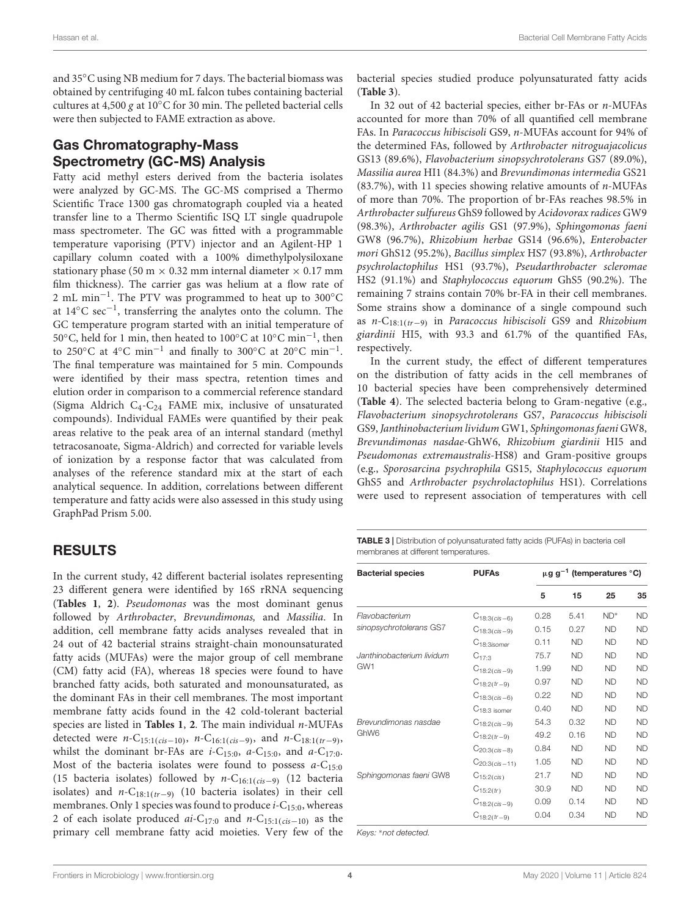and 35◦C using NB medium for 7 days. The bacterial biomass was obtained by centrifuging 40 mL falcon tubes containing bacterial cultures at 4,500 g at 10◦C for 30 min. The pelleted bacterial cells were then subjected to FAME extraction as above.

## Gas Chromatography-Mass Spectrometry (GC-MS) Analysis

Fatty acid methyl esters derived from the bacteria isolates were analyzed by GC-MS. The GC-MS comprised a Thermo Scientific Trace 1300 gas chromatograph coupled via a heated transfer line to a Thermo Scientific ISQ LT single quadrupole mass spectrometer. The GC was fitted with a programmable temperature vaporising (PTV) injector and an Agilent-HP 1 capillary column coated with a 100% dimethylpolysiloxane stationary phase (50 m  $\times$  0.32 mm internal diameter  $\times$  0.17 mm film thickness). The carrier gas was helium at a flow rate of 2 mL min−<sup>1</sup> . The PTV was programmed to heat up to 300◦C at 14◦C sec−<sup>1</sup> , transferring the analytes onto the column. The GC temperature program started with an initial temperature of 50◦C, held for 1 min, then heated to 100◦C at 10◦C min−<sup>1</sup> , then to 250°C at 4°C min<sup>-1</sup> and finally to 300°C at 20°C min<sup>-1</sup>. The final temperature was maintained for 5 min. Compounds were identified by their mass spectra, retention times and elution order in comparison to a commercial reference standard (Sigma Aldrich C4-C<sup>24</sup> FAME mix, inclusive of unsaturated compounds). Individual FAMEs were quantified by their peak areas relative to the peak area of an internal standard (methyl tetracosanoate, Sigma-Aldrich) and corrected for variable levels of ionization by a response factor that was calculated from analyses of the reference standard mix at the start of each analytical sequence. In addition, correlations between different temperature and fatty acids were also assessed in this study using GraphPad Prism 5.00.

### RESULTS

In the current study, 42 different bacterial isolates representing 23 different genera were identified by 16S rRNA sequencing (**[Tables 1](#page-2-0)**, **[2](#page-2-1)**). Pseudomonas was the most dominant genus followed by Arthrobacter, Brevundimonas, and Massilia. In addition, cell membrane fatty acids analyses revealed that in 24 out of 42 bacterial strains straight-chain monounsaturated fatty acids (MUFAs) were the major group of cell membrane (CM) fatty acid (FA), whereas 18 species were found to have branched fatty acids, both saturated and monounsaturated, as the dominant FAs in their cell membranes. The most important membrane fatty acids found in the 42 cold-tolerant bacterial species are listed in **[Tables 1](#page-2-0)**, **[2](#page-2-1)**. The main individual n-MUFAs detected were *n*-C<sub>15:1(cis-10)</sub>, *n*-C<sub>16:1(cis-9), and *n*-C<sub>18:1(tr-9),</sub></sub> whilst the dominant br-FAs are  $i$ -C<sub>15:0</sub>,  $a$ -C<sub>15:0</sub>, and  $a$ -C<sub>17:0</sub>. Most of the bacteria isolates were found to possess  $a-C_{15:0}$ (15 bacteria isolates) followed by n-C16:1(cis−9) (12 bacteria isolates) and  $n-C_{18:1(tr-9)}$  (10 bacteria isolates) in their cell membranes. Only 1 species was found to produce  $i$ -C<sub>15:0</sub>, whereas 2 of each isolate produced  $ai-C_{17:0}$  and  $n-C_{15:1(cis-10)}$  as the primary cell membrane fatty acid moieties. Very few of the bacterial species studied produce polyunsaturated fatty acids (**[Table 3](#page-3-0)**).

In 32 out of 42 bacterial species, either br-FAs or n-MUFAs accounted for more than 70% of all quantified cell membrane FAs. In Paracoccus hibiscisoli GS9, n-MUFAs account for 94% of the determined FAs, followed by Arthrobacter nitroguajacolicus GS13 (89.6%), Flavobacterium sinopsychrotolerans GS7 (89.0%), Massilia aurea HI1 (84.3%) and Brevundimonas intermedia GS21  $(83.7%)$ , with 11 species showing relative amounts of *n*-MUFAs of more than 70%. The proportion of br-FAs reaches 98.5% in Arthrobacter sulfureus GhS9 followed by Acidovorax radices GW9 (98.3%), Arthrobacter agilis GS1 (97.9%), Sphingomonas faeni GW8 (96.7%), Rhizobium herbae GS14 (96.6%), Enterobacter mori GhS12 (95.2%), Bacillus simplex HS7 (93.8%), Arthrobacter psychrolactophilus HS1 (93.7%), Pseudarthrobacter scleromae HS2 (91.1%) and Staphylococcus equorum GhS5 (90.2%). The remaining 7 strains contain 70% br-FA in their cell membranes. Some strains show a dominance of a single compound such as n-C<sub>18:1(tr−9)</sub> in *Paracoccus hibiscisoli* GS9 and *Rhizobium* giardinii HI5, with 93.3 and 61.7% of the quantified FAs, respectively.

In the current study, the effect of different temperatures on the distribution of fatty acids in the cell membranes of 10 bacterial species have been comprehensively determined (**[Table 4](#page-4-0)**). The selected bacteria belong to Gram-negative (e.g., Flavobacterium sinopsychrotolerans GS7, Paracoccus hibiscisoli GS9, Janthinobacterium lividum GW1, Sphingomonas faeni GW8, Brevundimonas nasdae-GhW6, Rhizobium giardinii HI5 and Pseudomonas extremaustralis-HS8) and Gram-positive groups (e.g., Sporosarcina psychrophila GS15, Staphylococcus equorum GhS5 and Arthrobacter psychrolactophilus HS1). Correlations were used to represent association of temperatures with cell

<span id="page-3-0"></span>TABLE 3 | Distribution of polyunsaturated fatty acids (PUFAs) in bacteria cell membranes at different temperatures.

| <b>Bacterial species</b>  | <b>PUFAs</b>            | $\mu$ g g <sup>-1</sup> (temperatures °C) |           |           |           |
|---------------------------|-------------------------|-------------------------------------------|-----------|-----------|-----------|
|                           |                         | 5                                         | 15        | 25        | 35        |
| Flavobacterium            | $C_{18:3(cis-6)}$       | 0.28                                      | 5.41      | $ND^*$    | <b>ND</b> |
| sinopsychrotolerans GS7   | $C_{18:3(cis-9)}$       | 0.15                                      | 0.27      | <b>ND</b> | <b>ND</b> |
|                           | C <sub>18:3isomer</sub> | 0.11                                      | <b>ND</b> | <b>ND</b> | <b>ND</b> |
| Janthinobacterium lividum | $C_{17:3}$              | 75.7                                      | <b>ND</b> | <b>ND</b> | <b>ND</b> |
| GW <sub>1</sub>           | $C_{18:2(cis-9)}$       | 1.99                                      | <b>ND</b> | <b>ND</b> | <b>ND</b> |
|                           | $C_{18:2(tr-9)}$        | 0.97                                      | <b>ND</b> | <b>ND</b> | <b>ND</b> |
|                           | $C_{18:3(cis-6)}$       | 0.22                                      | <b>ND</b> | <b>ND</b> | <b>ND</b> |
|                           | $C_{18:3}$ isomer       | 0.40                                      | <b>ND</b> | <b>ND</b> | <b>ND</b> |
| Brevundimonas nasdae      | $C_{18:2(cis-9)}$       | 54.3                                      | 0.32      | <b>ND</b> | <b>ND</b> |
| GhW <sub>6</sub>          | $C_{18:2(tr-9)}$        | 49.2                                      | 0.16      | <b>ND</b> | <b>ND</b> |
|                           | $C_{20:3(cis-8)}$       | 0.84                                      | <b>ND</b> | <b>ND</b> | <b>ND</b> |
|                           | $C_{20:3(cis-11)}$      | 1.05                                      | <b>ND</b> | <b>ND</b> | <b>ND</b> |
| Sphingomonas faeni GW8    | $C_{15:2(cis)}$         | 21.7                                      | <b>ND</b> | <b>ND</b> | <b>ND</b> |
|                           | $C_{15:2(tr)}$          | 30.9                                      | <b>ND</b> | <b>ND</b> | <b>ND</b> |
|                           | $C_{18:2(cis-9)}$       | 0.09                                      | 0.14      | <b>ND</b> | <b>ND</b> |
|                           | $C_{18:2(tr-9)}$        | 0.04                                      | 0.34      | <b>ND</b> | <b>ND</b> |

Keys: <sup>∗</sup>not detected.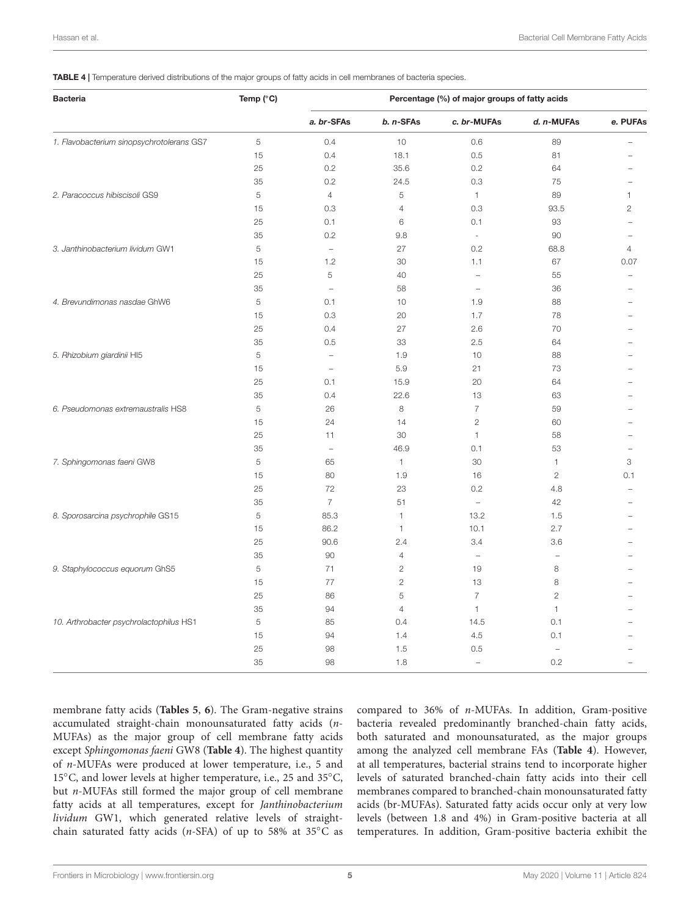<span id="page-4-0"></span>TABLE 4 | Temperature derived distributions of the major groups of fatty acids in cell membranes of bacteria species.

| <b>Bacteria</b>                           | Temp (°C) | Percentage (%) of major groups of fatty acids |                |                          |                   |                |  |
|-------------------------------------------|-----------|-----------------------------------------------|----------------|--------------------------|-------------------|----------------|--|
|                                           |           | a. br-SFAs                                    | b. n-SFAs      | c. br-MUFAs              | d. n-MUFAs        | e. PUFAs       |  |
| 1. Flavobacterium sinopsychrotolerans GS7 | 5         | 0.4                                           | 10             | 0.6                      | 89                |                |  |
|                                           | 15        | 0.4                                           | 18.1           | 0.5                      | 81                |                |  |
|                                           | 25        | 0.2                                           | 35.6           | 0.2                      | 64                |                |  |
|                                           | 35        | 0.2                                           | 24.5           | 0.3                      | 75                |                |  |
| 2. Paracoccus hibiscisoli GS9             | 5         | $\overline{4}$                                | 5              | $\mathbf{1}$             | 89                | 1              |  |
|                                           | 15        | 0.3                                           | $\overline{4}$ | 0.3                      | 93.5              | $\overline{2}$ |  |
|                                           | 25        | 0.1                                           | 6              | 0.1                      | 93                |                |  |
|                                           | 35        | 0.2                                           | 9.8            | $\bar{z}$                | 90                |                |  |
| 3. Janthinobacterium lividum GW1          | 5         | $\overline{\phantom{m}}$                      | 27             | 0.2                      | 68.8              | 4              |  |
|                                           | 15        | 1.2                                           | 30             | 1.1                      | 67                | 0.07           |  |
|                                           | 25        | 5                                             | 40             | $\overline{\phantom{0}}$ | 55                |                |  |
|                                           | 35        | $\bar{ }$                                     | 58             | $\overline{\phantom{a}}$ | 36                |                |  |
| 4. Brevundimonas nasdae GhW6              | 5         | 0.1                                           | 10             | 1.9                      | 88                |                |  |
|                                           | 15        | 0.3                                           | 20             | 1.7                      | 78                |                |  |
|                                           | 25        | 0.4                                           | 27             | 2.6                      | 70                |                |  |
|                                           | 35        | 0.5                                           | 33             | 2.5                      | 64                |                |  |
| 5. Rhizobium giardinii HI5                | 5         | $\qquad \qquad -$                             | 1.9            | 10                       | 88                |                |  |
|                                           | 15        | $\qquad \qquad -$                             | 5.9            | 21                       | 73                |                |  |
|                                           | 25        | 0.1                                           | 15.9           | 20                       | 64                |                |  |
|                                           | 35        | 0.4                                           | 22.6           | 13                       | 63                |                |  |
| 6. Pseudomonas extremaustralis HS8        | 5         | 26                                            | 8              | $\overline{7}$           | 59                |                |  |
|                                           | 15        | 24                                            | 14             | $\overline{c}$           | 60                |                |  |
|                                           | 25        | 11                                            | 30             | $\mathbf{1}$             | 58                |                |  |
|                                           | 35        | $\overline{a}$                                | 46.9           | 0.1                      | 53                |                |  |
| 7. Sphingomonas faeni GW8                 | 5         | 65                                            | 1              | 30                       | 1                 | 3              |  |
|                                           | 15        | 80                                            | 1.9            | 16                       | $\overline{c}$    | 0.1            |  |
|                                           | 25        | 72                                            | 23             | 0.2                      | 4.8               |                |  |
|                                           | 35        | $\overline{7}$                                | 51             | $\overline{\phantom{a}}$ | 42                |                |  |
| 8. Sporosarcina psychrophile GS15         | 5         | 85.3                                          | 1              | 13.2                     | 1.5               |                |  |
|                                           | 15        | 86.2                                          | 1              | 10.1                     | 2.7               |                |  |
|                                           | 25        | 90.6                                          | 2.4            | 3.4                      | 3.6               |                |  |
|                                           | 35        | 90                                            | $\overline{4}$ | $\overline{\phantom{0}}$ | $\qquad \qquad -$ |                |  |
| 9. Staphylococcus equorum GhS5            | 5         | 71                                            | $\overline{c}$ | 19                       | 8                 |                |  |
|                                           | 15        | 77                                            | $\mathbf{2}$   | 13                       | 8                 |                |  |
|                                           | 25        | 86                                            | 5              | $\overline{7}$           | $\overline{c}$    |                |  |
|                                           | 35        | 94                                            | $\overline{4}$ | $\mathbf{1}$             | $\mathbf{1}$      |                |  |
| 10. Arthrobacter psychrolactophilus HS1   | 5         | 85                                            | 0.4            | 14.5                     | 0.1               |                |  |
|                                           | 15        | 94                                            | 1.4            | 4.5                      | 0.1               |                |  |
|                                           | 25        | 98                                            | 1.5            | 0.5                      |                   |                |  |
|                                           | 35        | 98                                            | 1.8            | $\overline{\phantom{a}}$ | 0.2               |                |  |
|                                           |           |                                               |                |                          |                   |                |  |

membrane fatty acids (**[Tables 5](#page-5-0)**, **[6](#page-5-1)**). The Gram-negative strains accumulated straight-chain monounsaturated fatty acids (n-MUFAs) as the major group of cell membrane fatty acids except Sphingomonas faeni GW8 (**[Table 4](#page-4-0)**). The highest quantity of n-MUFAs were produced at lower temperature, i.e., 5 and 15◦C, and lower levels at higher temperature, i.e., 25 and 35◦C, but n-MUFAs still formed the major group of cell membrane fatty acids at all temperatures, except for Janthinobacterium lividum GW1, which generated relative levels of straightchain saturated fatty acids (n-SFA) of up to 58% at 35°C as

compared to 36% of n-MUFAs. In addition, Gram-positive bacteria revealed predominantly branched-chain fatty acids, both saturated and monounsaturated, as the major groups among the analyzed cell membrane FAs (**[Table 4](#page-4-0)**). However, at all temperatures, bacterial strains tend to incorporate higher levels of saturated branched-chain fatty acids into their cell membranes compared to branched-chain monounsaturated fatty acids (br-MUFAs). Saturated fatty acids occur only at very low levels (between 1.8 and 4%) in Gram-positive bacteria at all temperatures. In addition, Gram-positive bacteria exhibit the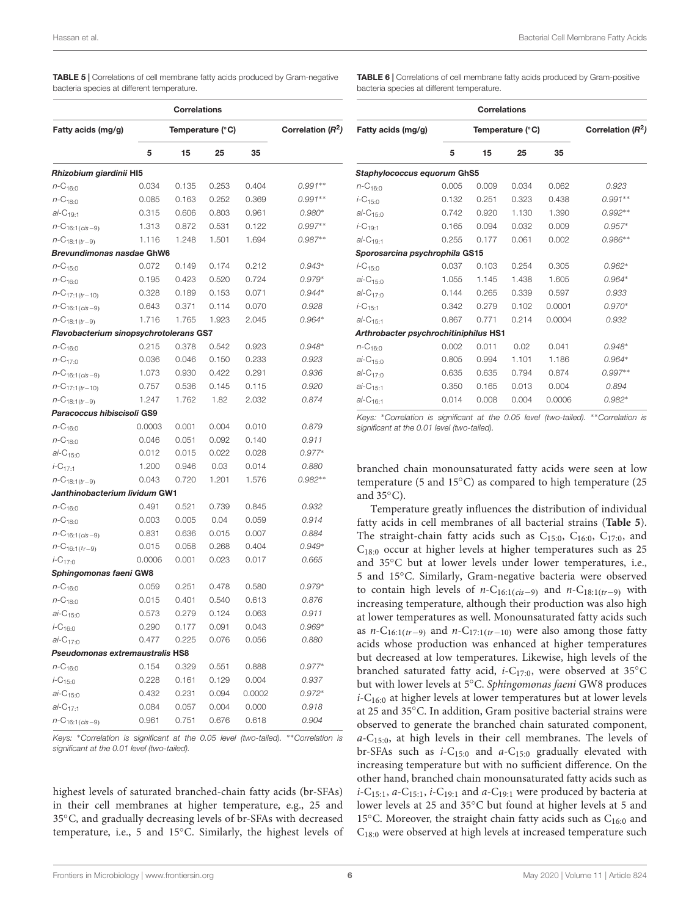<span id="page-5-0"></span>TABLE 5 | Correlations of cell membrane fatty acids produced by Gram-negative bacteria species at different temperature.

|                                        |        | <b>Correlations</b> |                               |        |           |
|----------------------------------------|--------|---------------------|-------------------------------|--------|-----------|
| Fatty acids (mg/g)                     |        | Temperature (°C)    | Correlation (R <sup>2</sup> ) |        |           |
|                                        | 5      | 15                  | 25                            | 35     |           |
| Rhizobium giardinii HI5                |        |                     |                               |        |           |
| $n - C_{16:0}$                         | 0.034  | 0.135               | 0.253                         | 0.404  | $0.991**$ |
| $n - C_{18:0}$                         | 0.085  | 0.163               | 0.252                         | 0.369  | $0.991**$ |
| $ai-C_{19:1}$                          | 0.315  | 0.606               | 0.803                         | 0.961  | $0.980*$  |
| $n\text{-}C_{16:1(cis-9)}$             | 1.313  | 0.872               | 0.531                         | 0.122  | $0.997**$ |
| $n\text{-}C_{18:1(tr-9)}$              | 1.116  | 1.248               | 1.501                         | 1.694  | $0.987**$ |
| Brevundimonas nasdae GhW6              |        |                     |                               |        |           |
| $n - C_{15:0}$                         | 0.072  | 0.149               | 0.174                         | 0.212  | $0.943*$  |
| $n - C_{16:0}$                         | 0.195  | 0.423               | 0.520                         | 0.724  | $0.979*$  |
| $n\text{-}C_{17:1(tr-10)}$             | 0.328  | 0.189               | 0.153                         | 0.071  | $0.944*$  |
| $n\text{-}C_{16:1(cis-9)}$             | 0.643  | 0.371               | 0.114                         | 0.070  | 0.928     |
| $n\text{-}C_{18:1(tr-9)}$              | 1.716  | 1.765               | 1.923                         | 2.045  | $0.964*$  |
| Flavobacterium sinopsychrotolerans GS7 |        |                     |                               |        |           |
| $n - C_{16:0}$                         | 0.215  | 0.378               | 0.542                         | 0.923  | $0.948*$  |
| $n - C_{17:0}$                         | 0.036  | 0.046               | 0.150                         | 0.233  | 0.923     |
| $n\text{-}C_{16:1(cis - 9)}$           | 1.073  | 0.930               | 0.422                         | 0.291  | 0.936     |
| $n\text{-}C_{17:1(tr-10)}$             | 0.757  | 0.536               | 0.145                         | 0.115  | 0.920     |
| $n\text{-}C_{18:1(tr-9)}$              | 1.247  | 1.762               | 1.82                          | 2.032  | 0.874     |
| Paracoccus hibiscisoli GS9             |        |                     |                               |        |           |
| $n - C_{16:0}$                         | 0.0003 | 0.001               | 0.004                         | 0.010  | 0.879     |
| $n - C_{18:0}$                         | 0.046  | 0.051               | 0.092                         | 0.140  | 0.911     |
| $ai - C_{15:0}$                        | 0.012  | 0.015               | 0.022                         | 0.028  | $0.977*$  |
| $i$ -C <sub>17:1</sub>                 | 1.200  | 0.946               | 0.03                          | 0.014  | 0.880     |
| $n\text{-}C_{18:1(tr-9)}$              | 0.043  | 0.720               | 1.201                         | 1.576  | $0.982**$ |
| Janthinobacterium lividum GW1          |        |                     |                               |        |           |
| $n - C_{16:0}$                         | 0.491  | 0.521               | 0.739                         | 0.845  | 0.932     |
| $n - C_{18:0}$                         | 0.003  | 0.005               | 0.04                          | 0.059  | 0.914     |
| $n\text{-}C_{16:1(cis-9)}$             | 0.831  | 0.636               | 0.015                         | 0.007  | 0.884     |
| $n\text{-}C_{16:1(tr-9)}$              | 0.015  | 0.058               | 0.268                         | 0.404  | $0.949*$  |
| $i - C_{17:0}$                         | 0.0006 | 0.001               | 0.023                         | 0.017  | 0.665     |
| Sphingomonas faeni GW8                 |        |                     |                               |        |           |
| $n - C_{16:0}$                         | 0.059  | 0.251               | 0.478                         | 0.580  | $0.979*$  |
| $n - C_{18:0}$                         | 0.015  | 0.401               | 0.540                         | 0.613  | 0.876     |
| $ai - C_{15:0}$                        | 0.573  | 0.279               | 0.124                         | 0.063  | 0.911     |
| $i$ -C <sub>16:0</sub>                 | 0.290  | 0.177               | 0.091                         | 0.043  | $0.969*$  |
| $ai-C_{17:0}$                          | 0.477  | 0.225               | 0.076                         | 0.056  | 0.880     |
| Pseudomonas extremaustralis HS8        |        |                     |                               |        |           |
| $n$ -C <sub>16:0</sub>                 | 0.154  | 0.329               | 0.551                         | 0.888  | $0.977*$  |
| $i$ -C <sub>15:0</sub>                 | 0.228  | 0.161               | 0.129                         | 0.004  | 0.937     |
| $ai - C_{15:0}$                        | 0.432  | 0.231               | 0.094                         | 0.0002 | $0.972*$  |
| $ai-C_{17:1}$                          | 0.084  | 0.057               | 0.004                         | 0.000  | 0.918     |
| $n\text{-}C_{16:1(cis-9)}$             | 0.961  | 0.751               | 0.676                         | 0.618  | 0.904     |

Keys: <sup>∗</sup>Correlation is significant at the 0.05 level (two-tailed). ∗∗Correlation is significant at the 0.01 level (two-tailed).

highest levels of saturated branched-chain fatty acids (br-SFAs) in their cell membranes at higher temperature, e.g., 25 and 35◦C, and gradually decreasing levels of br-SFAs with decreased temperature, i.e., 5 and 15◦C. Similarly, the highest levels of <span id="page-5-1"></span>TABLE 6 | Correlations of cell membrane fatty acids produced by Gram-positive bacteria species at different temperature.

|                                       |       | <b>Correlations</b> |                               |        |           |  |
|---------------------------------------|-------|---------------------|-------------------------------|--------|-----------|--|
| Fatty acids (mg/g)                    |       | Temperature (°C)    | Correlation (R <sup>2</sup> ) |        |           |  |
|                                       | 5     | 15                  | 25                            | 35     |           |  |
| Staphylococcus equorum GhS5           |       |                     |                               |        |           |  |
| $n - C_{16:0}$                        | 0.005 | 0.009               | 0.034                         | 0.062  | 0.923     |  |
| $i$ -C <sub>15:0</sub>                | 0.132 | 0.251               | 0.323                         | 0.438  | $0.991**$ |  |
| $ai-C15:0$                            | 0.742 | 0.920               | 1.130                         | 1.390  | $0.992**$ |  |
| $i$ -C <sub>19:1</sub>                | 0.165 | 0.094               | 0.032                         | 0.009  | $0.957*$  |  |
| $ai-C19-1$                            | 0.255 | 0.177               | 0.061                         | 0.002  | $0.986**$ |  |
| Sporosarcina psychrophila GS15        |       |                     |                               |        |           |  |
| $i$ -C <sub>15</sub> .0               | 0.037 | 0.103               | 0.254                         | 0.305  | $0.962*$  |  |
| $ai-C_{15:0}$                         | 1.055 | 1.145               | 1.438                         | 1.605  | $0.964*$  |  |
| $ai-C_{17}$                           | 0.144 | 0.265               | 0.339                         | 0.597  | 0.933     |  |
| $i$ -C <sub>15</sub> .1               | 0.342 | 0.279               | 0.102                         | 0.0001 | $0.970*$  |  |
| $ai-C_{15:1}$                         | 0.867 | 0.771               | 0.214                         | 0.0004 | 0.932     |  |
| Arthrobacter psychrochitiniphilus HS1 |       |                     |                               |        |           |  |
| $n - C_{16:0}$                        | 0.002 | 0.011               | 0.02                          | 0.041  | $0.948*$  |  |
| $ai-C_{15:0}$                         | 0.805 | 0.994               | 1.101                         | 1.186  | $0.964*$  |  |
| $ai-C_{17:0}$                         | 0.635 | 0.635               | 0.794                         | 0.874  | $0.997**$ |  |
| $ai-C15-1$                            | 0.350 | 0.165               | 0.013                         | 0.004  | 0.894     |  |
| $ai-C_{16:1}$                         | 0.014 | 0.008               | 0.004                         | 0.0006 | $0.982*$  |  |

Keys: <sup>∗</sup>Correlation is significant at the 0.05 level (two-tailed). ∗∗Correlation is significant at the 0.01 level (two-tailed).

branched chain monounsaturated fatty acids were seen at low temperature (5 and 15◦C) as compared to high temperature (25 and 35◦C).

Temperature greatly influences the distribution of individual fatty acids in cell membranes of all bacterial strains (**[Table 5](#page-5-0)**). The straight-chain fatty acids such as  $C_{15:0}$ ,  $C_{16:0}$ ,  $C_{17:0}$ , and C18:<sup>0</sup> occur at higher levels at higher temperatures such as 25 and 35◦C but at lower levels under lower temperatures, i.e., 5 and 15◦C. Similarly, Gram-negative bacteria were observed to contain high levels of  $n-C_{16:1(cis-9)}$  and  $n-C_{18:1(tr-9)}$  with increasing temperature, although their production was also high at lower temperatures as well. Monounsaturated fatty acids such as *n*-C<sub>16:1(tr−9)</sub> and *n*-C<sub>17:1(tr−10)</sub> were also among those fatty acids whose production was enhanced at higher temperatures but decreased at low temperatures. Likewise, high levels of the branched saturated fatty acid,  $i$ -C<sub>17:0</sub>, were observed at 35°C but with lower levels at 5◦C. Sphingomonas faeni GW8 produces  $i$ -C<sub>16:0</sub> at higher levels at lower temperatures but at lower levels at 25 and 35◦C. In addition, Gram positive bacterial strains were observed to generate the branched chain saturated component,  $a-C_{15:0}$ , at high levels in their cell membranes. The levels of br-SFAs such as  $i$ -C<sub>15:0</sub> and  $a$ -C<sub>15:0</sub> gradually elevated with increasing temperature but with no sufficient difference. On the other hand, branched chain monounsaturated fatty acids such as  $i$ -C<sub>15:1</sub>,  $a$ -C<sub>15:1</sub>,  $i$ -C<sub>19:1</sub> and  $a$ -C<sub>19:1</sub> were produced by bacteria at lower levels at 25 and 35◦C but found at higher levels at 5 and 15 $^{\circ}$ C. Moreover, the straight chain fatty acids such as C<sub>16:0</sub> and  $C_{18:0}$  were observed at high levels at increased temperature such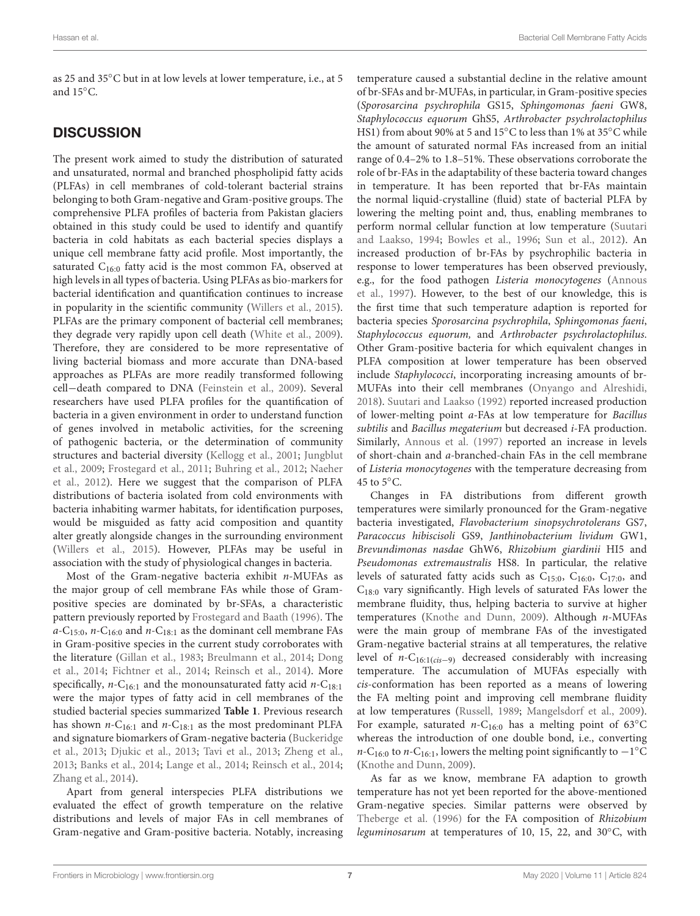as 25 and 35◦C but in at low levels at lower temperature, i.e., at 5 and 15◦C.

### **DISCUSSION**

The present work aimed to study the distribution of saturated and unsaturated, normal and branched phospholipid fatty acids (PLFAs) in cell membranes of cold-tolerant bacterial strains belonging to both Gram-negative and Gram-positive groups. The comprehensive PLFA profiles of bacteria from Pakistan glaciers obtained in this study could be used to identify and quantify bacteria in cold habitats as each bacterial species displays a unique cell membrane fatty acid profile. Most importantly, the saturated  $C_{16:0}$  fatty acid is the most common FA, observed at high levels in all types of bacteria. Using PLFAs as bio-markers for bacterial identification and quantification continues to increase in popularity in the scientific community [\(Willers et al.,](#page-8-20) [2015\)](#page-8-20). PLFAs are the primary component of bacterial cell membranes; they degrade very rapidly upon cell death [\(White et al.,](#page-8-21) [2009\)](#page-8-21). Therefore, they are considered to be more representative of living bacterial biomass and more accurate than DNA-based approaches as PLFAs are more readily transformed following cell−death compared to DNA [\(Feinstein et al.,](#page-8-22) [2009\)](#page-8-22). Several researchers have used PLFA profiles for the quantification of bacteria in a given environment in order to understand function of genes involved in metabolic activities, for the screening of pathogenic bacteria, or the determination of community structures and bacterial diversity [\(Kellogg et al.,](#page-8-23) [2001;](#page-8-23) [Jungblut](#page-8-24) [et al.,](#page-8-24) [2009;](#page-8-24) [Frostegard et al.,](#page-8-25) [2011;](#page-8-25) [Buhring et al.,](#page-7-2) [2012;](#page-7-2) [Naeher](#page-8-26) [et al.,](#page-8-26) [2012\)](#page-8-26). Here we suggest that the comparison of PLFA distributions of bacteria isolated from cold environments with bacteria inhabiting warmer habitats, for identification purposes, would be misguided as fatty acid composition and quantity alter greatly alongside changes in the surrounding environment [\(Willers et al.,](#page-8-20) [2015\)](#page-8-20). However, PLFAs may be useful in association with the study of physiological changes in bacteria.

Most of the Gram-negative bacteria exhibit  $n$ -MUFAs as the major group of cell membrane FAs while those of Grampositive species are dominated by br-SFAs, a characteristic pattern previously reported by [Frostegard and Baath](#page-8-27) [\(1996\)](#page-8-27). The  $a-C_{15:0}$ , n-C<sub>16:0</sub> and n-C<sub>18:1</sub> as the dominant cell membrane FAs in Gram-positive species in the current study corroborates with the literature [\(Gillan et al.,](#page-8-28) [1983;](#page-8-28) [Breulmann et al.,](#page-7-3) [2014;](#page-7-3) [Dong](#page-8-29) [et al.,](#page-8-29) [2014;](#page-8-29) [Fichtner et al.,](#page-8-30) [2014;](#page-8-30) [Reinsch et al.,](#page-8-31) [2014\)](#page-8-31). More specifically,  $n-C_{16:1}$  and the monounsaturated fatty acid  $n-C_{18:1}$ were the major types of fatty acid in cell membranes of the studied bacterial species summarized **[Table 1](#page-2-0)**. Previous research has shown  $n$ -C<sub>16:1</sub> and  $n$ -C<sub>18:1</sub> as the most predominant PLFA and signature biomarkers of Gram-negative bacteria [\(Buckeridge](#page-7-4) [et al.,](#page-7-4) [2013;](#page-7-4) [Djukic et al.,](#page-8-32) [2013;](#page-8-32) [Tavi et al.,](#page-8-33) [2013;](#page-8-33) [Zheng et al.,](#page-9-1) [2013;](#page-9-1) [Banks et al.,](#page-7-5) [2014;](#page-7-5) [Lange et al.,](#page-8-34) [2014;](#page-8-34) [Reinsch et al.,](#page-8-31) [2014;](#page-8-31) [Zhang et al.,](#page-9-2) [2014\)](#page-9-2).

Apart from general interspecies PLFA distributions we evaluated the effect of growth temperature on the relative distributions and levels of major FAs in cell membranes of Gram-negative and Gram-positive bacteria. Notably, increasing temperature caused a substantial decline in the relative amount of br-SFAs and br-MUFAs, in particular, in Gram-positive species (Sporosarcina psychrophila GS15, Sphingomonas faeni GW8, Staphylococcus equorum GhS5, Arthrobacter psychrolactophilus HS1) from about 90% at 5 and 15◦C to less than 1% at 35◦C while the amount of saturated normal FAs increased from an initial range of 0.4–2% to 1.8–51%. These observations corroborate the role of br-FAs in the adaptability of these bacteria toward changes in temperature. It has been reported that br-FAs maintain the normal liquid-crystalline (fluid) state of bacterial PLFA by lowering the melting point and, thus, enabling membranes to perform normal cellular function at low temperature [\(Suutari](#page-8-15) [and Laakso,](#page-8-15) [1994;](#page-8-15) [Bowles et al.,](#page-7-6) [1996;](#page-7-6) [Sun et al.,](#page-8-35) [2012\)](#page-8-35). An increased production of br-FAs by psychrophilic bacteria in response to lower temperatures has been observed previously, e.g., for the food pathogen Listeria monocytogenes [\(Annous](#page-7-7) [et al.,](#page-7-7) [1997\)](#page-7-7). However, to the best of our knowledge, this is the first time that such temperature adaption is reported for bacteria species Sporosarcina psychrophila, Sphingomonas faeni, Staphylococcus equorum, and Arthrobacter psychrolactophilus. Other Gram-positive bacteria for which equivalent changes in PLFA composition at lower temperature has been observed include Staphylococci, incorporating increasing amounts of br-MUFAs into their cell membranes [\(Onyango and Alreshidi,](#page-8-36) [2018\)](#page-8-36). [Suutari and Laakso](#page-8-37) [\(1992\)](#page-8-37) reported increased production of lower-melting point a-FAs at low temperature for Bacillus subtilis and Bacillus megaterium but decreased i-FA production. Similarly, [Annous et al.](#page-7-7) [\(1997\)](#page-7-7) reported an increase in levels of short-chain and a-branched-chain FAs in the cell membrane of Listeria monocytogenes with the temperature decreasing from 45 to  $5^{\circ}$ C.

Changes in FA distributions from different growth temperatures were similarly pronounced for the Gram-negative bacteria investigated, Flavobacterium sinopsychrotolerans GS7, Paracoccus hibiscisoli GS9, Janthinobacterium lividum GW1, Brevundimonas nasdae GhW6, Rhizobium giardinii HI5 and Pseudomonas extremaustralis HS8. In particular, the relative levels of saturated fatty acids such as C15:0, C16:0, C17:0, and  $C<sub>18:0</sub>$  vary significantly. High levels of saturated FAs lower the membrane fluidity, thus, helping bacteria to survive at higher temperatures [\(Knothe and Dunn,](#page-8-38) [2009\)](#page-8-38). Although n-MUFAs were the main group of membrane FAs of the investigated Gram-negative bacterial strains at all temperatures, the relative level of  $n-C_{16:1(cis-9)}$  decreased considerably with increasing temperature. The accumulation of MUFAs especially with cis-conformation has been reported as a means of lowering the FA melting point and improving cell membrane fluidity at low temperatures [\(Russell,](#page-8-39) [1989;](#page-8-39) [Mangelsdorf et al.,](#page-8-40) [2009\)](#page-8-40). For example, saturated  $n$ -C<sub>16:0</sub> has a melting point of 63°C whereas the introduction of one double bond, i.e., converting *n*-C<sub>16:0</sub> to *n*-C<sub>16:1</sub>, lowers the melting point significantly to  $-1^{\circ}$ C [\(Knothe and Dunn,](#page-8-38) [2009\)](#page-8-38).

As far as we know, membrane FA adaption to growth temperature has not yet been reported for the above-mentioned Gram-negative species. Similar patterns were observed by [Theberge et al.](#page-8-41) [\(1996\)](#page-8-41) for the FA composition of Rhizobium leguminosarum at temperatures of 10, 15, 22, and 30◦C, with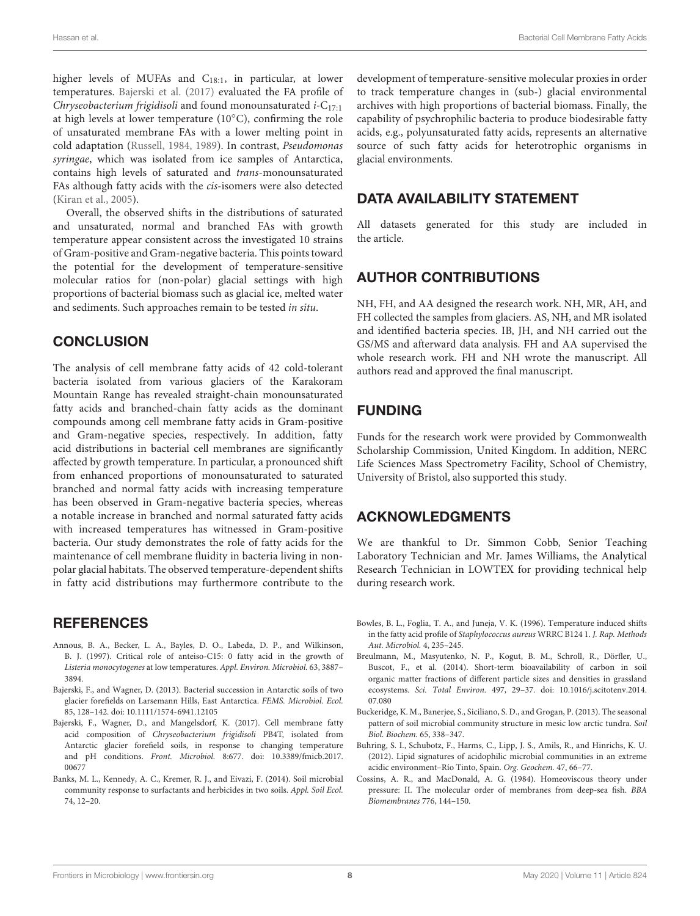higher levels of MUFAs and C<sub>18:1</sub>, in particular, at lower temperatures. [Bajerski et al.](#page-7-8) [\(2017\)](#page-7-8) evaluated the FA profile of Chryseobacterium frigidisoli and found monounsaturated  $i$ -C<sub>17:1</sub> at high levels at lower temperature (10◦C), confirming the role of unsaturated membrane FAs with a lower melting point in cold adaptation [\(Russell,](#page-8-42) [1984,](#page-8-42) [1989\)](#page-8-39). In contrast, Pseudomonas syringae, which was isolated from ice samples of Antarctica, contains high levels of saturated and trans-monounsaturated FAs although fatty acids with the cis-isomers were also detected [\(Kiran et al.,](#page-8-43) [2005\)](#page-8-43).

Overall, the observed shifts in the distributions of saturated and unsaturated, normal and branched FAs with growth temperature appear consistent across the investigated 10 strains of Gram-positive and Gram-negative bacteria. This points toward the potential for the development of temperature-sensitive molecular ratios for (non-polar) glacial settings with high proportions of bacterial biomass such as glacial ice, melted water and sediments. Such approaches remain to be tested in situ.

#### **CONCLUSION**

The analysis of cell membrane fatty acids of 42 cold-tolerant bacteria isolated from various glaciers of the Karakoram Mountain Range has revealed straight-chain monounsaturated fatty acids and branched-chain fatty acids as the dominant compounds among cell membrane fatty acids in Gram-positive and Gram-negative species, respectively. In addition, fatty acid distributions in bacterial cell membranes are significantly affected by growth temperature. In particular, a pronounced shift from enhanced proportions of monounsaturated to saturated branched and normal fatty acids with increasing temperature has been observed in Gram-negative bacteria species, whereas a notable increase in branched and normal saturated fatty acids with increased temperatures has witnessed in Gram-positive bacteria. Our study demonstrates the role of fatty acids for the maintenance of cell membrane fluidity in bacteria living in nonpolar glacial habitats. The observed temperature-dependent shifts in fatty acid distributions may furthermore contribute to the

### **REFERENCES**

- <span id="page-7-7"></span>Annous, B. A., Becker, L. A., Bayles, D. O., Labeda, D. P., and Wilkinson, B. J. (1997). Critical role of anteiso-C15: 0 fatty acid in the growth of Listeria monocytogenes at low temperatures. Appl. Environ. Microbiol. 63, 3887– 3894.
- <span id="page-7-0"></span>Bajerski, F., and Wagner, D. (2013). Bacterial succession in Antarctic soils of two glacier forefields on Larsemann Hills, East Antarctica. FEMS. Microbiol. Ecol. 85, 128–142. [doi: 10.1111/1574-6941.12105](https://doi.org/10.1111/1574-6941.12105)
- <span id="page-7-8"></span>Bajerski, F., Wagner, D., and Mangelsdorf, K. (2017). Cell membrane fatty acid composition of Chryseobacterium frigidisoli PB4T, isolated from Antarctic glacier forefield soils, in response to changing temperature and pH conditions. Front. Microbiol. 8:677. [doi: 10.3389/fmicb.2017.](https://doi.org/10.3389/fmicb.2017.00677) [00677](https://doi.org/10.3389/fmicb.2017.00677)
- <span id="page-7-5"></span>Banks, M. L., Kennedy, A. C., Kremer, R. J., and Eivazi, F. (2014). Soil microbial community response to surfactants and herbicides in two soils. Appl. Soil Ecol. 74, 12–20.

development of temperature-sensitive molecular proxies in order to track temperature changes in (sub-) glacial environmental archives with high proportions of bacterial biomass. Finally, the capability of psychrophilic bacteria to produce biodesirable fatty acids, e.g., polyunsaturated fatty acids, represents an alternative source of such fatty acids for heterotrophic organisms in glacial environments.

### DATA AVAILABILITY STATEMENT

All datasets generated for this study are included in the article.

### AUTHOR CONTRIBUTIONS

NH, FH, and AA designed the research work. NH, MR, AH, and FH collected the samples from glaciers. AS, NH, and MR isolated and identified bacteria species. IB, JH, and NH carried out the GS/MS and afterward data analysis. FH and AA supervised the whole research work. FH and NH wrote the manuscript. All authors read and approved the final manuscript.

## FUNDING

Funds for the research work were provided by Commonwealth Scholarship Commission, United Kingdom. In addition, NERC Life Sciences Mass Spectrometry Facility, School of Chemistry, University of Bristol, also supported this study.

### ACKNOWLEDGMENTS

We are thankful to Dr. Simmon Cobb, Senior Teaching Laboratory Technician and Mr. James Williams, the Analytical Research Technician in LOWTEX for providing technical help during research work.

- <span id="page-7-6"></span>Bowles, B. L., Foglia, T. A., and Juneja, V. K. (1996). Temperature induced shifts in the fatty acid profile of Staphylococcus aureus WRRC B124 1. J. Rap. Methods Aut. Microbiol. 4, 235–245.
- <span id="page-7-3"></span>Breulmann, M., Masyutenko, N. P., Kogut, B. M., Schroll, R., Dörfler, U., Buscot, F., et al. (2014). Short-term bioavailability of carbon in soil organic matter fractions of different particle sizes and densities in grassland ecosystems. Sci. Total Environ. 497, 29–37. [doi: 10.1016/j.scitotenv.2014.](https://doi.org/10.1016/j.scitotenv.2014.07.080) [07.080](https://doi.org/10.1016/j.scitotenv.2014.07.080)
- <span id="page-7-4"></span>Buckeridge, K. M., Banerjee, S., Siciliano, S. D., and Grogan, P. (2013). The seasonal pattern of soil microbial community structure in mesic low arctic tundra. Soil Biol. Biochem. 65, 338–347.
- <span id="page-7-2"></span>Buhring, S. I., Schubotz, F., Harms, C., Lipp, J. S., Amils, R., and Hinrichs, K. U. (2012). Lipid signatures of acidophilic microbial communities in an extreme acidic environment–Río Tinto, Spain. Org. Geochem. 47, 66–77.
- <span id="page-7-1"></span>Cossins, A. R., and MacDonald, A. G. (1984). Homeoviscous theory under pressure: II. The molecular order of membranes from deep-sea fish. BBA Biomembranes 776, 144–150.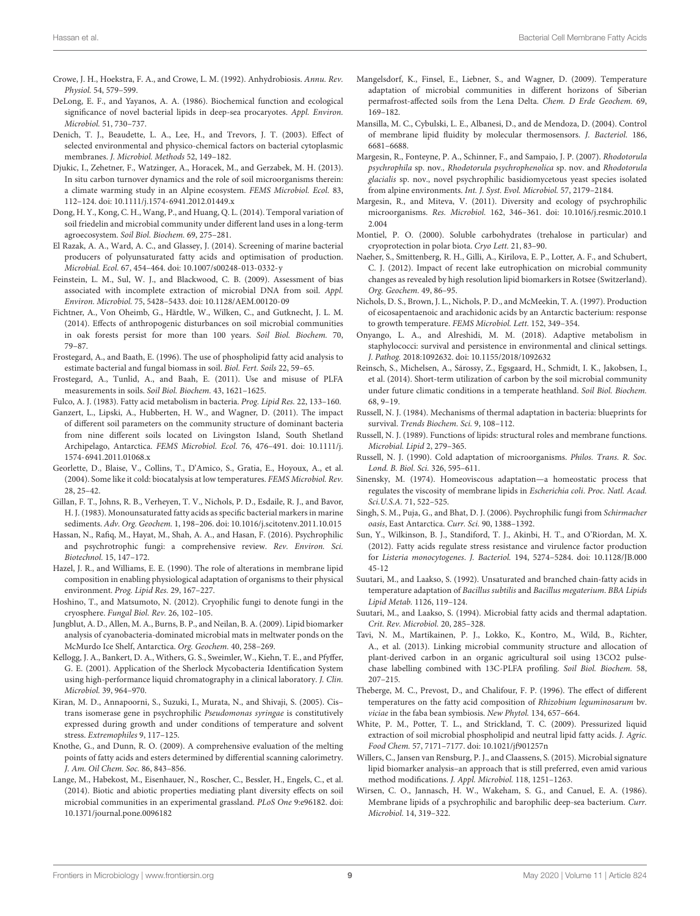- <span id="page-8-6"></span>Crowe, J. H., Hoekstra, F. A., and Crowe, L. M. (1992). Anhydrobiosis. Annu. Rev. Physiol. 54, 579–599.
- <span id="page-8-16"></span>DeLong, E. F., and Yayanos, A. A. (1986). Biochemical function and ecological significance of novel bacterial lipids in deep-sea procaryotes. Appl. Environ. Microbiol. 51, 730–737.
- <span id="page-8-10"></span>Denich, T. J., Beaudette, L. A., Lee, H., and Trevors, J. T. (2003). Effect of selected environmental and physico-chemical factors on bacterial cytoplasmic membranes. J. Microbiol. Methods 52, 149–182.
- <span id="page-8-32"></span>Djukic, I., Zehetner, F., Watzinger, A., Horacek, M., and Gerzabek, M. H. (2013). In situ carbon turnover dynamics and the role of soil microorganisms therein: a climate warming study in an Alpine ecosystem. FEMS Microbiol. Ecol. 83, 112–124. [doi: 10.1111/j.1574-6941.2012.01449.x](https://doi.org/10.1111/j.1574-6941.2012.01449.x)
- <span id="page-8-29"></span>Dong, H. Y., Kong, C. H., Wang, P., and Huang, Q. L. (2014). Temporal variation of soil friedelin and microbial community under different land uses in a long-term agroecosystem. Soil Biol. Biochem. 69, 275–281.
- <span id="page-8-19"></span>El Razak, A. A., Ward, A. C., and Glassey, J. (2014). Screening of marine bacterial producers of polyunsaturated fatty acids and optimisation of production. Microbial. Ecol. 67, 454–464. [doi: 10.1007/s00248-013-0332-y](https://doi.org/10.1007/s00248-013-0332-y)
- <span id="page-8-22"></span>Feinstein, L. M., Sul, W. J., and Blackwood, C. B. (2009). Assessment of bias associated with incomplete extraction of microbial DNA from soil. Appl. Environ. Microbiol. 75, 5428–5433. [doi: 10.1128/AEM.00120-09](https://doi.org/10.1128/AEM.00120-09)
- <span id="page-8-30"></span>Fichtner, A., Von Oheimb, G., Härdtle, W., Wilken, C., and Gutknecht, J. L. M. (2014). Effects of anthropogenic disturbances on soil microbial communities in oak forests persist for more than 100 years. Soil Biol. Biochem. 70, 79–87.
- <span id="page-8-27"></span>Frostegard, A., and Baath, E. (1996). The use of phospholipid fatty acid analysis to estimate bacterial and fungal biomass in soil. Biol. Fert. Soils 22, 59–65.
- <span id="page-8-25"></span>Frostegard, A., Tunlid, A., and Baah, E. (2011). Use and misuse of PLFA measurements in soils. Soil Biol. Biochem. 43, 1621–1625.

<span id="page-8-13"></span>Fulco, A. J. (1983). Fatty acid metabolism in bacteria. Prog. Lipid Res. 22, 133–160.

- <span id="page-8-8"></span>Ganzert, L., Lipski, A., Hubberten, H. W., and Wagner, D. (2011). The impact of different soil parameters on the community structure of dominant bacteria from nine different soils located on Livingston Island, South Shetland Archipelago, Antarctica. FEMS Microbiol. Ecol. 76, 476–491. [doi: 10.1111/j.](https://doi.org/10.1111/j.1574-6941.2011.01068.x) [1574-6941.2011.01068.x](https://doi.org/10.1111/j.1574-6941.2011.01068.x)
- <span id="page-8-9"></span>Georlette, D., Blaise, V., Collins, T., D'Amico, S., Gratia, E., Hoyoux, A., et al. (2004). Some like it cold: biocatalysis at low temperatures. FEMS Microbiol. Rev. 28, 25–42.
- <span id="page-8-28"></span>Gillan, F. T., Johns, R. B., Verheyen, T. V., Nichols, P. D., Esdaile, R. J., and Bavor, H. J. (1983). Monounsaturated fatty acids as specific bacterial markers in marine sediments. Adv. Org. Geochem. 1, 198–206. [doi: 10.1016/j.scitotenv.2011.10.015](https://doi.org/10.1016/j.scitotenv.2011.10.015)
- <span id="page-8-7"></span>Hassan, N., Rafiq, M., Hayat, M., Shah, A. A., and Hasan, F. (2016). Psychrophilic and psychrotrophic fungi: a comprehensive review. Rev. Environ. Sci. Biotechnol. 15, 147–172.
- <span id="page-8-14"></span>Hazel, J. R., and Williams, E. E. (1990). The role of alterations in membrane lipid composition in enabling physiological adaptation of organisms to their physical environment. Prog. Lipid Res. 29, 167–227.
- <span id="page-8-2"></span>Hoshino, T., and Matsumoto, N. (2012). Cryophilic fungi to denote fungi in the cryosphere. Fungal Biol. Rev. 26, 102–105.
- <span id="page-8-24"></span>Jungblut, A. D., Allen, M. A., Burns, B. P., and Neilan, B. A. (2009). Lipid biomarker analysis of cyanobacteria-dominated microbial mats in meltwater ponds on the McMurdo Ice Shelf, Antarctica. Org. Geochem. 40, 258–269.
- <span id="page-8-23"></span>Kellogg, J. A., Bankert, D. A., Withers, G. S., Sweimler, W., Kiehn, T. E., and Pfyffer, G. E. (2001). Application of the Sherlock Mycobacteria Identification System using high-performance liquid chromatography in a clinical laboratory. J. Clin. Microbiol. 39, 964–970.
- <span id="page-8-43"></span>Kiran, M. D., Annapoorni, S., Suzuki, I., Murata, N., and Shivaji, S. (2005). Cis– trans isomerase gene in psychrophilic Pseudomonas syringae is constitutively expressed during growth and under conditions of temperature and solvent stress. Extremophiles 9, 117–125.
- <span id="page-8-38"></span>Knothe, G., and Dunn, R. O. (2009). A comprehensive evaluation of the melting points of fatty acids and esters determined by differential scanning calorimetry. J. Am. Oil Chem. Soc. 86, 843–856.
- <span id="page-8-34"></span>Lange, M., Habekost, M., Eisenhauer, N., Roscher, C., Bessler, H., Engels, C., et al. (2014). Biotic and abiotic properties mediating plant diversity effects on soil microbial communities in an experimental grassland. PLoS One 9:e96182. [doi:](https://doi.org/10.1371/journal.pone.0096182) [10.1371/journal.pone.0096182](https://doi.org/10.1371/journal.pone.0096182)
- <span id="page-8-40"></span>Mangelsdorf, K., Finsel, E., Liebner, S., and Wagner, D. (2009). Temperature adaptation of microbial communities in different horizons of Siberian permafrost-affected soils from the Lena Delta. Chem. D Erde Geochem. 69, 169–182.
- <span id="page-8-12"></span>Mansilla, M. C., Cybulski, L. E., Albanesi, D., and de Mendoza, D. (2004). Control of membrane lipid fluidity by molecular thermosensors. J. Bacteriol. 186, 6681–6688.
- <span id="page-8-0"></span>Margesin, R., Fonteyne, P. A., Schinner, F., and Sampaio, J. P. (2007). Rhodotorula psychrophila sp. nov., Rhodotorula psychrophenolica sp. nov. and Rhodotorula glacialis sp. nov., novel psychrophilic basidiomycetous yeast species isolated from alpine environments. Int. J. Syst. Evol. Microbiol. 57, 2179–2184.
- <span id="page-8-1"></span>Margesin, R., and Miteva, V. (2011). Diversity and ecology of psychrophilic microorganisms. Res. Microbiol. 162, 346–361. [doi: 10.1016/j.resmic.2010.1](https://doi.org/10.1016/j.resmic.2010.12.004) [2.004](https://doi.org/10.1016/j.resmic.2010.12.004)
- <span id="page-8-4"></span>Montiel, P. O. (2000). Soluble carbohydrates (trehalose in particular) and cryoprotection in polar biota. Cryo Lett. 21, 83–90.
- <span id="page-8-26"></span>Naeher, S., Smittenberg, R. H., Gilli, A., Kirilova, E. P., Lotter, A. F., and Schubert, C. J. (2012). Impact of recent lake eutrophication on microbial community changes as revealed by high resolution lipid biomarkers in Rotsee (Switzerland). Org. Geochem. 49, 86–95.
- <span id="page-8-18"></span>Nichols, D. S., Brown, J. L., Nichols, P. D., and McMeekin, T. A. (1997). Production of eicosapentaenoic and arachidonic acids by an Antarctic bacterium: response to growth temperature. FEMS Microbiol. Lett. 152, 349–354.
- <span id="page-8-36"></span>Onyango, L. A., and Alreshidi, M. M. (2018). Adaptive metabolism in staphylococci: survival and persistence in environmental and clinical settings. J. Pathog. 2018:1092632. [doi: 10.1155/2018/1092632](https://doi.org/10.1155/2018/1092632)
- <span id="page-8-31"></span>Reinsch, S., Michelsen, A., Sárossy, Z., Egsgaard, H., Schmidt, I. K., Jakobsen, I., et al. (2014). Short-term utilization of carbon by the soil microbial community under future climatic conditions in a temperate heathland. Soil Biol. Biochem. 68, 9–19.
- <span id="page-8-42"></span>Russell, N. J. (1984). Mechanisms of thermal adaptation in bacteria: blueprints for survival. Trends Biochem. Sci. 9, 108–112.
- <span id="page-8-39"></span>Russell, N. J. (1989). Functions of lipids: structural roles and membrane functions. Microbial. Lipid 2, 279–365.
- <span id="page-8-5"></span>Russell, N. J. (1990). Cold adaptation of microorganisms. Philos. Trans. R. Soc. Lond. B. Biol. Sci. 326, 595–611.
- <span id="page-8-11"></span>Sinensky, M. (1974). Homeoviscous adaptation—a homeostatic process that regulates the viscosity of membrane lipids in Escherichia coli. Proc. Natl. Acad. Sci.U.S.A. 71, 522–525.
- <span id="page-8-3"></span>Singh, S. M., Puja, G., and Bhat, D. J. (2006). Psychrophilic fungi from Schirmacher oasis, East Antarctica. Curr. Sci. 90, 1388–1392.
- <span id="page-8-35"></span>Sun, Y., Wilkinson, B. J., Standiford, T. J., Akinbi, H. T., and O'Riordan, M. X. (2012). Fatty acids regulate stress resistance and virulence factor production for Listeria monocytogenes. J. Bacteriol. 194, 5274–5284. [doi: 10.1128/JB.000](https://doi.org/10.1128/JB.00045-12) [45-12](https://doi.org/10.1128/JB.00045-12)
- <span id="page-8-37"></span>Suutari, M., and Laakso, S. (1992). Unsaturated and branched chain-fatty acids in temperature adaptation of Bacillus subtilis and Bacillus megaterium. BBA Lipids Lipid Metab. 1126, 119–124.
- <span id="page-8-15"></span>Suutari, M., and Laakso, S. (1994). Microbial fatty acids and thermal adaptation. Crit. Rev. Microbiol. 20, 285–328.
- <span id="page-8-33"></span>Tavi, N. M., Martikainen, P. J., Lokko, K., Kontro, M., Wild, B., Richter, A., et al. (2013). Linking microbial community structure and allocation of plant-derived carbon in an organic agricultural soil using 13CO2 pulsechase labelling combined with 13C-PLFA profiling. Soil Biol. Biochem. 58, 207–215.
- <span id="page-8-41"></span>Theberge, M. C., Prevost, D., and Chalifour, F. P. (1996). The effect of different temperatures on the fatty acid composition of Rhizobium leguminosarum bv. viciae in the faba bean symbiosis. New Phytol. 134, 657–664.
- <span id="page-8-21"></span>White, P. M., Potter, T. L., and Strickland, T. C. (2009). Pressurized liquid extraction of soil microbial phospholipid and neutral lipid fatty acids. J. Agric. Food Chem. 57, 7171–7177. [doi: 10.1021/jf901257n](https://doi.org/10.1021/jf901257n)
- <span id="page-8-20"></span>Willers, C., Jansen van Rensburg, P. J., and Claassens, S. (2015). Microbial signature lipid biomarker analysis–an approach that is still preferred, even amid various method modifications. J. Appl. Microbiol. 118, 1251–1263.
- <span id="page-8-17"></span>Wirsen, C. O., Jannasch, H. W., Wakeham, S. G., and Canuel, E. A. (1986). Membrane lipids of a psychrophilic and barophilic deep-sea bacterium. Curr. Microbiol. 14, 319–322.